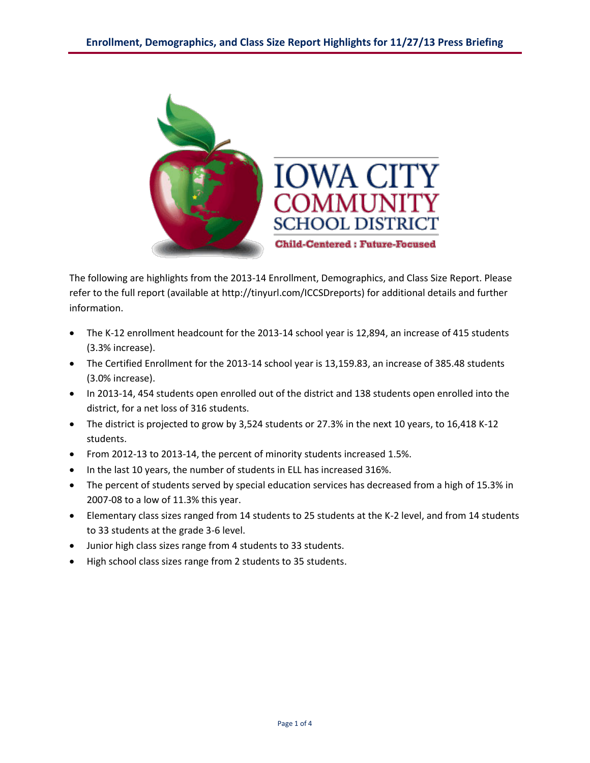

The following are highlights from the 2013-14 Enrollment, Demographics, and Class Size Report. Please refer to the full report (available at<http://tinyurl.com/ICCSDreports>) for additional details and further information.

- The K-12 enrollment headcount for the 2013-14 school year is 12,894, an increase of 415 students (3.3% increase).
- The Certified Enrollment for the 2013-14 school year is [13,159.83,](https://13,159.83) an increase of 385.48 students (3.0% increase).
- In 2013-14, 454 students open enrolled out of the district and 138 students open enrolled into the district, for a net loss of 316 students.
- The district is projected to grow by 3,524 students or 27.3% in the next 10 years, to 16,418 K-12 students.
- From 2012-13 to 2013-14, the percent of minority students increased 1.5%.
- In the last 10 years, the number of students in ELL has increased 316%.
- The percent of students served by special education services has decreased from a high of 15.3% in 2007-08 to a low of 11.3% this year.
- Elementary class sizes ranged from 14 students to 25 students at the K-2 level, and from 14 students to 33 students at the grade 3-6 level.
- Junior high class sizes range from 4 students to 33 students.
- High school class sizes range from 2 students to 35 students.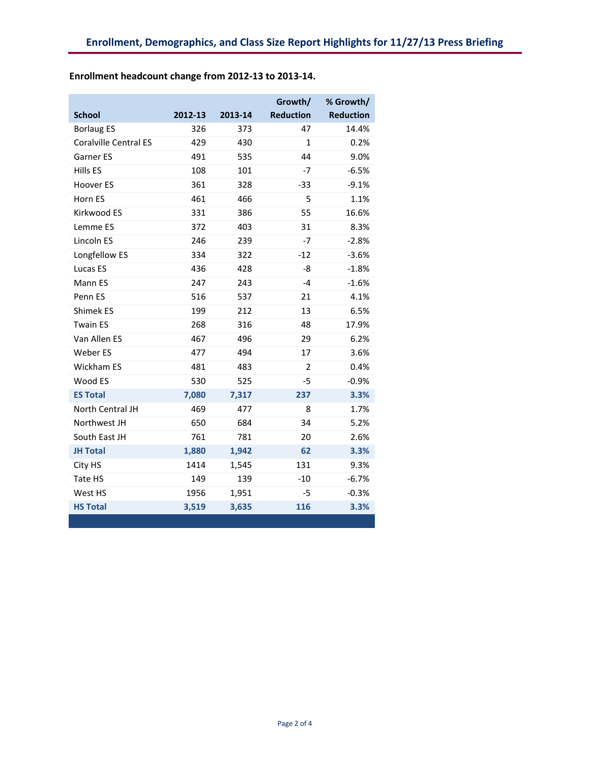|                              |         |         | Growth/          | % Growth/        |  |
|------------------------------|---------|---------|------------------|------------------|--|
| <b>School</b>                | 2012-13 | 2013-14 | <b>Reduction</b> | <b>Reduction</b> |  |
| <b>Borlaug ES</b>            | 326     | 373     | 47               | 14.4%            |  |
| <b>Coralville Central ES</b> | 429     | 430     | 1                | 0.2%             |  |
| Garner ES                    | 491     | 535     | 44               | 9.0%             |  |
| Hills ES                     | 108     | 101     | $-7$             | $-6.5%$          |  |
| Hoover ES                    | 361     | 328     | $-33$            | $-9.1%$          |  |
| Horn ES                      | 461     | 466     | 5                | 1.1%             |  |
| Kirkwood ES                  | 331     | 386     | 55               | 16.6%            |  |
| Lemme ES                     | 372     | 403     | 31               | 8.3%             |  |
| Lincoln ES                   | 246     | 239     | $-7$             | $-2.8%$          |  |
| Longfellow ES                | 334     | 322     | $-12$            | $-3.6%$          |  |
| Lucas ES                     | 436     | 428     | -8               | $-1.8%$          |  |
| Mann ES                      | 247     | 243     | $-4$             | $-1.6%$          |  |
| Penn ES                      | 516     | 537     | 21               | 4.1%             |  |
| <b>Shimek ES</b>             | 199     | 212     | 13               | 6.5%             |  |
| <b>Twain ES</b>              | 268     | 316     | 48               | 17.9%            |  |
| Van Allen ES                 | 467     | 496     | 29               | 6.2%             |  |
| Weber ES                     | 477     | 494     | 17               | 3.6%             |  |
| Wickham ES                   | 481     | 483     | $\overline{2}$   | 0.4%             |  |
| Wood ES                      | 530     | 525     | -5               | $-0.9%$          |  |
| <b>ES Total</b>              | 7,080   | 7,317   | 237              | 3.3%             |  |
| North Central JH             | 469     | 477     | 8                | 1.7%             |  |
| Northwest JH                 | 650     | 684     | 34               | 5.2%             |  |
| South East JH                | 761     | 781     | 20               | 2.6%             |  |
| <b>JH Total</b>              | 1,880   | 1,942   | 62               | 3.3%             |  |
| City HS                      | 1414    | 1,545   | 131              | 9.3%             |  |
| Tate HS                      | 149     | 139     | $-10$            | $-6.7%$          |  |
| West HS                      | 1956    | 1,951   | $-5$             | $-0.3%$          |  |
| <b>HS Total</b>              | 3,519   | 3,635   | 116              | 3.3%             |  |

## **Enrollment headcount change from 2012-13 to 2013-14.**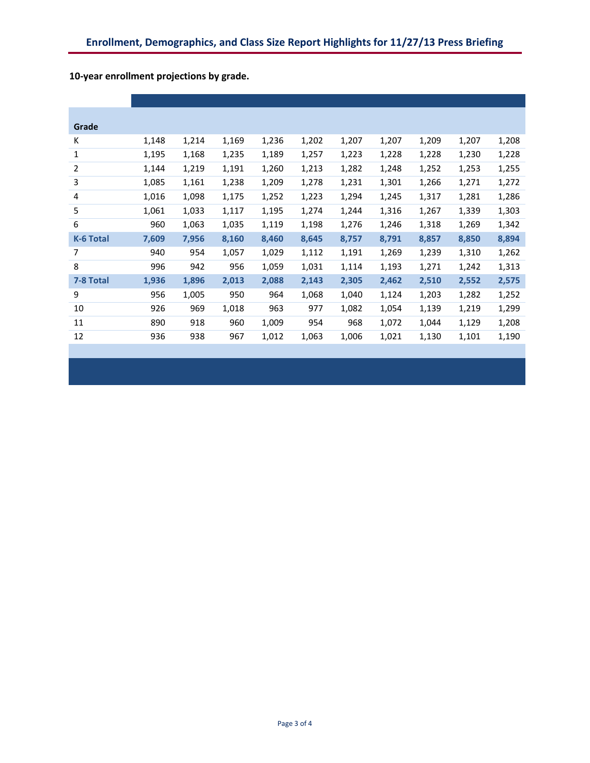| Grade            |       |       |       |       |       |       |       |       |       |       |
|------------------|-------|-------|-------|-------|-------|-------|-------|-------|-------|-------|
| К                | 1,148 | 1,214 | 1,169 | 1,236 | 1,202 | 1,207 | 1,207 | 1,209 | 1,207 | 1,208 |
| 1                | 1,195 | 1,168 | 1,235 | 1,189 | 1,257 | 1,223 | 1,228 | 1,228 | 1,230 | 1,228 |
| 2                | 1,144 | 1,219 | 1,191 | 1,260 | 1,213 | 1,282 | 1,248 | 1,252 | 1,253 | 1,255 |
| 3                | 1,085 | 1,161 | 1,238 | 1,209 | 1,278 | 1,231 | 1,301 | 1,266 | 1,271 | 1,272 |
| 4                | 1,016 | 1,098 | 1,175 | 1,252 | 1,223 | 1,294 | 1,245 | 1,317 | 1,281 | 1,286 |
| 5                | 1,061 | 1,033 | 1,117 | 1,195 | 1,274 | 1,244 | 1,316 | 1,267 | 1,339 | 1,303 |
| 6                | 960   | 1,063 | 1,035 | 1,119 | 1,198 | 1,276 | 1,246 | 1,318 | 1,269 | 1,342 |
| <b>K-6 Total</b> | 7,609 | 7,956 | 8,160 | 8,460 | 8,645 | 8,757 | 8,791 | 8,857 | 8,850 | 8,894 |
| 7                | 940   | 954   | 1,057 | 1,029 | 1,112 | 1,191 | 1,269 | 1,239 | 1,310 | 1,262 |
| 8                | 996   | 942   | 956   | 1,059 | 1,031 | 1,114 | 1,193 | 1,271 | 1,242 | 1,313 |
| 7-8 Total        | 1,936 | 1,896 | 2,013 | 2,088 | 2,143 | 2,305 | 2,462 | 2,510 | 2,552 | 2,575 |
| 9                | 956   | 1,005 | 950   | 964   | 1,068 | 1,040 | 1,124 | 1,203 | 1,282 | 1,252 |
| 10               | 926   | 969   | 1,018 | 963   | 977   | 1,082 | 1,054 | 1,139 | 1,219 | 1,299 |
| 11               | 890   | 918   | 960   | 1,009 | 954   | 968   | 1,072 | 1,044 | 1,129 | 1,208 |
| 12               | 936   | 938   | 967   | 1,012 | 1,063 | 1,006 | 1,021 | 1,130 | 1,101 | 1,190 |

**10-year enrollment projections by grade.**